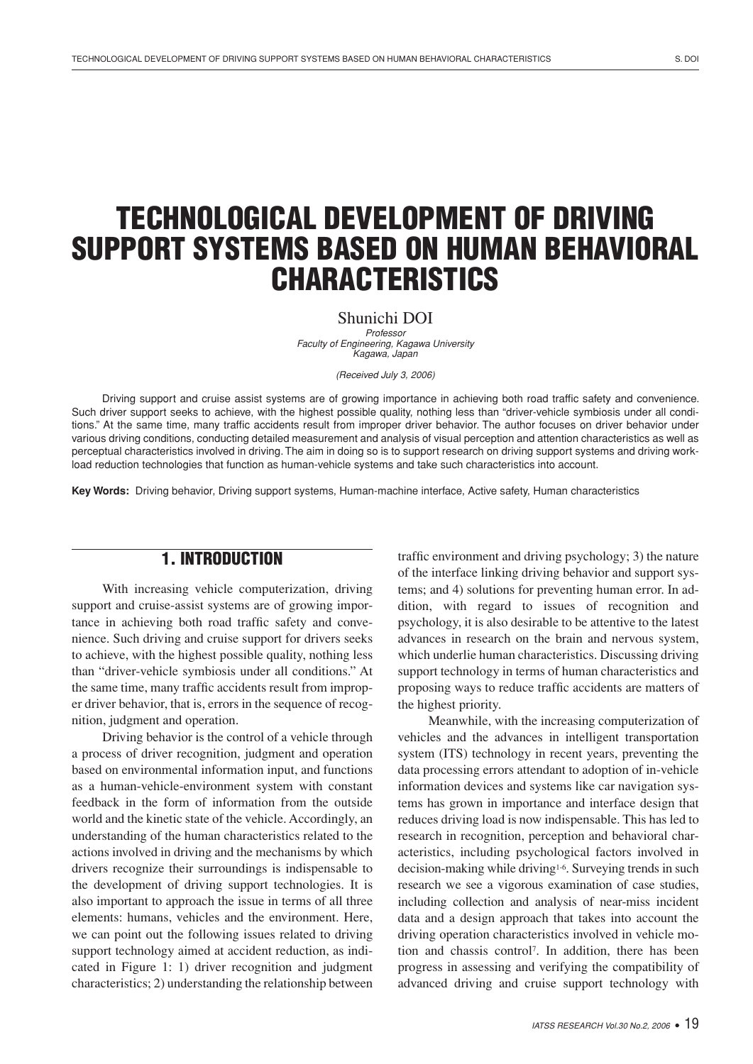# TECHNOLOGICAL DEVELOPMENT OF DRIVING SUPPORT SYSTEMS BASED ON HUMAN BEHAVIORAL CHARACTERISTICS

Shunichi DOI

Professor Faculty of Engineering, Kagawa University Kagawa, Japan

(Received July 3, 2006)

Driving support and cruise assist systems are of growing importance in achieving both road traffic safety and convenience. Such driver support seeks to achieve, with the highest possible quality, nothing less than "driver-vehicle symbiosis under all conditions." At the same time, many traffic accidents result from improper driver behavior. The author focuses on driver behavior under various driving conditions, conducting detailed measurement and analysis of visual perception and attention characteristics as well as perceptual characteristics involved in driving. The aim in doing so is to support research on driving support systems and driving workload reduction technologies that function as human-vehicle systems and take such characteristics into account.

Key Words: Driving behavior, Driving support systems, Human-machine interface, Active safety, Human characteristics

## 1. INTRODUCTION

With increasing vehicle computerization, driving support and cruise-assist systems are of growing importance in achieving both road traffic safety and convenience. Such driving and cruise support for drivers seeks to achieve, with the highest possible quality, nothing less than "driver-vehicle symbiosis under all conditions." At the same time, many traffic accidents result from improper driver behavior, that is, errors in the sequence of recognition, judgment and operation.

Driving behavior is the control of a vehicle through a process of driver recognition, judgment and operation based on environmental information input, and functions as a human-vehicle-environment system with constant feedback in the form of information from the outside world and the kinetic state of the vehicle. Accordingly, an understanding of the human characteristics related to the actions involved in driving and the mechanisms by which drivers recognize their surroundings is indispensable to the development of driving support technologies. It is also important to approach the issue in terms of all three elements: humans, vehicles and the environment. Here, we can point out the following issues related to driving support technology aimed at accident reduction, as indicated in Figure 1: 1) driver recognition and judgment characteristics; 2) understanding the relationship between traffic environment and driving psychology; 3) the nature of the interface linking driving behavior and support systems; and 4) solutions for preventing human error. In addition, with regard to issues of recognition and psychology, it is also desirable to be attentive to the latest advances in research on the brain and nervous system, which underlie human characteristics. Discussing driving support technology in terms of human characteristics and proposing ways to reduce traffic accidents are matters of the highest priority.

Meanwhile, with the increasing computerization of vehicles and the advances in intelligent transportation system (ITS) technology in recent years, preventing the data processing errors attendant to adoption of in-vehicle information devices and systems like car navigation systems has grown in importance and interface design that reduces driving load is now indispensable. This has led to research in recognition, perception and behavioral characteristics, including psychological factors involved in decision-making while driving<sup>1-6</sup>. Surveying trends in such research we see a vigorous examination of case studies, including collection and analysis of near-miss incident data and a design approach that takes into account the driving operation characteristics involved in vehicle motion and chassis control<sup>7</sup> . In addition, there has been progress in assessing and verifying the compatibility of advanced driving and cruise support technology with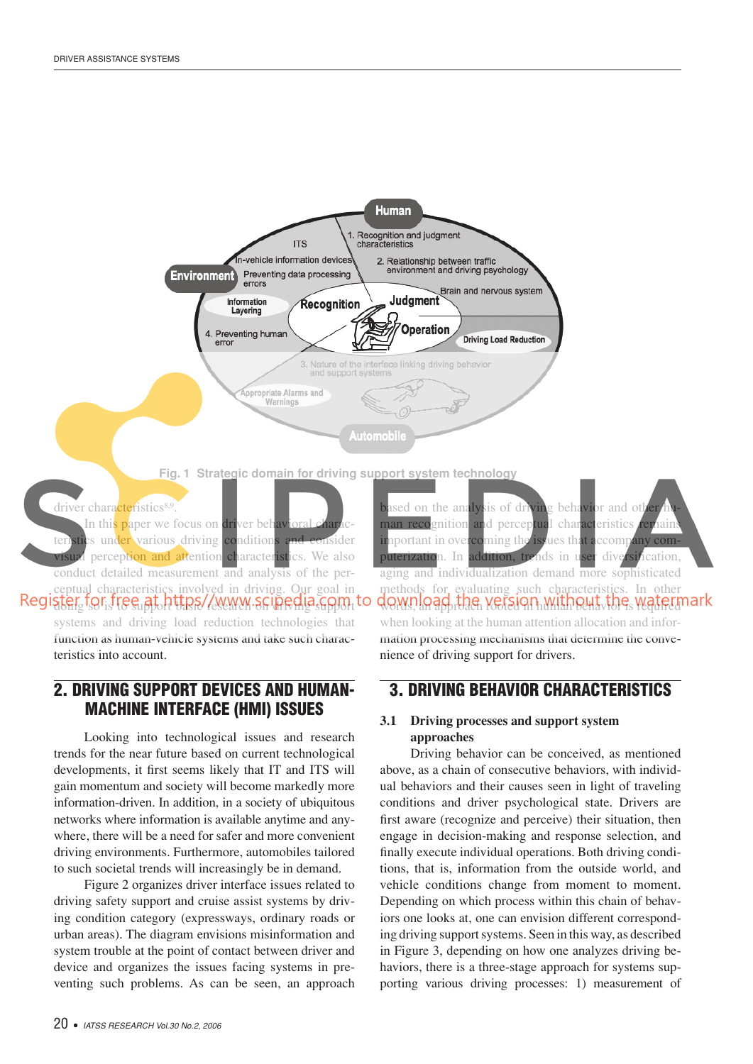

In this paper we focus on driver behavioral teristics under various driving conditions and consider visual perception and attention characteristics.We also conduct detailed measurement and analysis of the perceptual characteristics involved in driving. Our goal in Register for free at https//www.scinedia.com.to systems and driving load reduction technologies that function as human-vehicle systems and take such charac-

teristics into account.

## 2. DRIVING SUPPORT DEVICES AND HUMAN-MACHINE INTERFACE (HMI) ISSUES

Looking into technological issues and research trends for the near future based on current technological developments, it first seems likely that IT and ITS will gain momentum and society will become markedly more information-driven. In addition, in a society of ubiquitous networks where information is available anytime and anywhere, there will be a need for safer and more convenient driving environments. Furthermore, automobiles tailored to such societal trends will increasingly be in demand.

Figure 2 organizes driver interface issues related to driving safety support and cruise assist systems by driving condition category (expressways, ordinary roads or urban areas). The diagram envisions misinformation and system trouble at the point of contact between driver and device and organizes the issues facing systems in preventing such problems. As can be seen, an approach

based on the analysis of driving behavior and other man recognition and perceptual characteristics remain important in overcoming the issues that accompany computerization. In addition, trends in user diversification, aging and individualization demand more sophisticated methods for evaluating such characteristics. In other words, an approach version human behavioris required when looking at the human attention allocation and information processing mechanisms that determine the convenience of driving support for drivers.

## 3. DRIVING BEHAVIOR CHARACTERISTICS

#### **3.1 Driving processes and support system approaches**

Driving behavior can be conceived, as mentioned above, as a chain of consecutive behaviors, with individual behaviors and their causes seen in light of traveling conditions and driver psychological state. Drivers are first aware (recognize and perceive) their situation, then engage in decision-making and response selection, and finally execute individual operations. Both driving conditions, that is, information from the outside world, and vehicle conditions change from moment to moment. Depending on which process within this chain of behaviors one looks at, one can envision different corresponding driving support systems. Seen in this way, as described in Figure 3, depending on how one analyzes driving behaviors, there is a three-stage approach for systems supporting various driving processes: 1) measurement of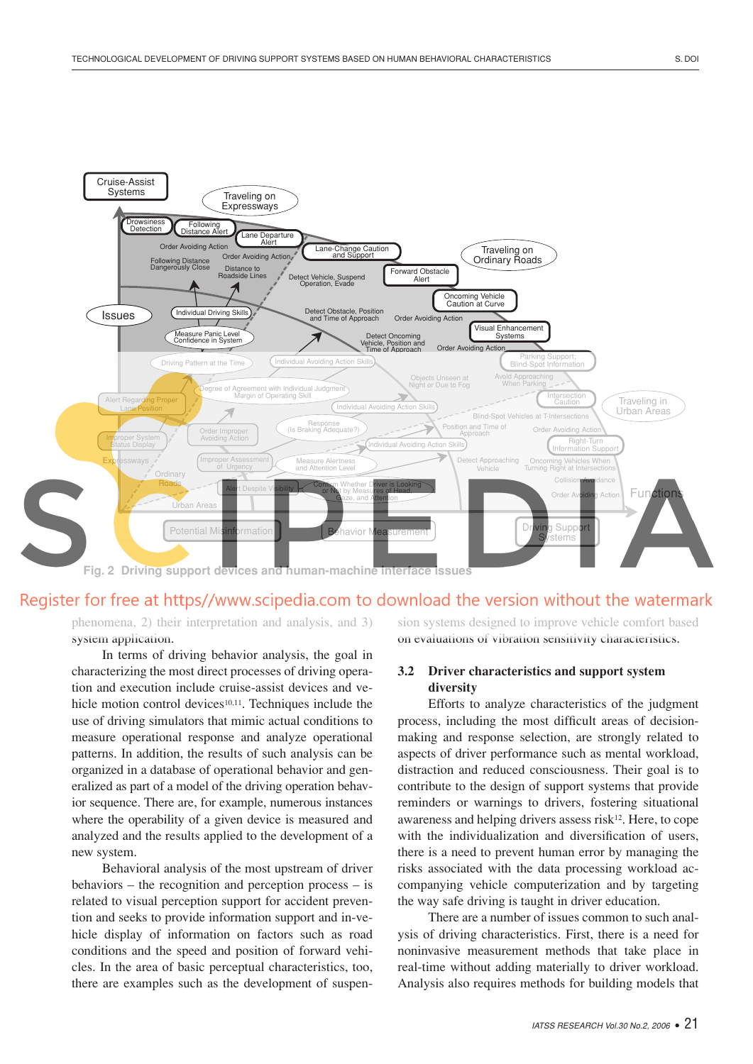

## Register for free at https//www.scipedia.com to download the version without the watermark

phenomena, 2) their interpretation and analysis, and 3) system application.

In terms of driving behavior analysis, the goal in characterizing the most direct processes of driving operation and execution include cruise-assist devices and vehicle motion control devices<sup>10,11</sup>. Techniques include the use of driving simulators that mimic actual conditions to measure operational response and analyze operational patterns. In addition, the results of such analysis can be organized in a database of operational behavior and generalized as part of a model of the driving operation behavior sequence. There are, for example, numerous instances where the operability of a given device is measured and analyzed and the results applied to the development of a new system.

Behavioral analysis of the most upstream of driver behaviors – the recognition and perception process – is related to visual perception support for accident prevention and seeks to provide information support and in-vehicle display of information on factors such as road conditions and the speed and position of forward vehicles. In the area of basic perceptual characteristics, too, there are examples such as the development of suspension systems designed to improve vehicle comfort based on evaluations of vibration sensitivity characteristics.

#### **3.2** Driver characteristics and support system **diversity**

Efforts to analyze characteristics of the judgment process, including the most difficult areas of decisionmaking and response selection, are strongly related to aspects of driver performance such as mental workload, distraction and reduced consciousness. Their goal is to contribute to the design of support systems that provide reminders or warnings to drivers, fostering situational awareness and helping drivers assess risk $12$ . Here, to cope with the individualization and diversification of users, there is a need to prevent human error by managing the risks associated with the data processing workload accompanying vehicle computerization and by targeting the way safe driving is taught in driver education.

There are a number of issues common to such analysis of driving characteristics. First, there is a need for noninvasive measurement methods that take place in real-time without adding materially to driver workload. Analysis also requires methods for building models that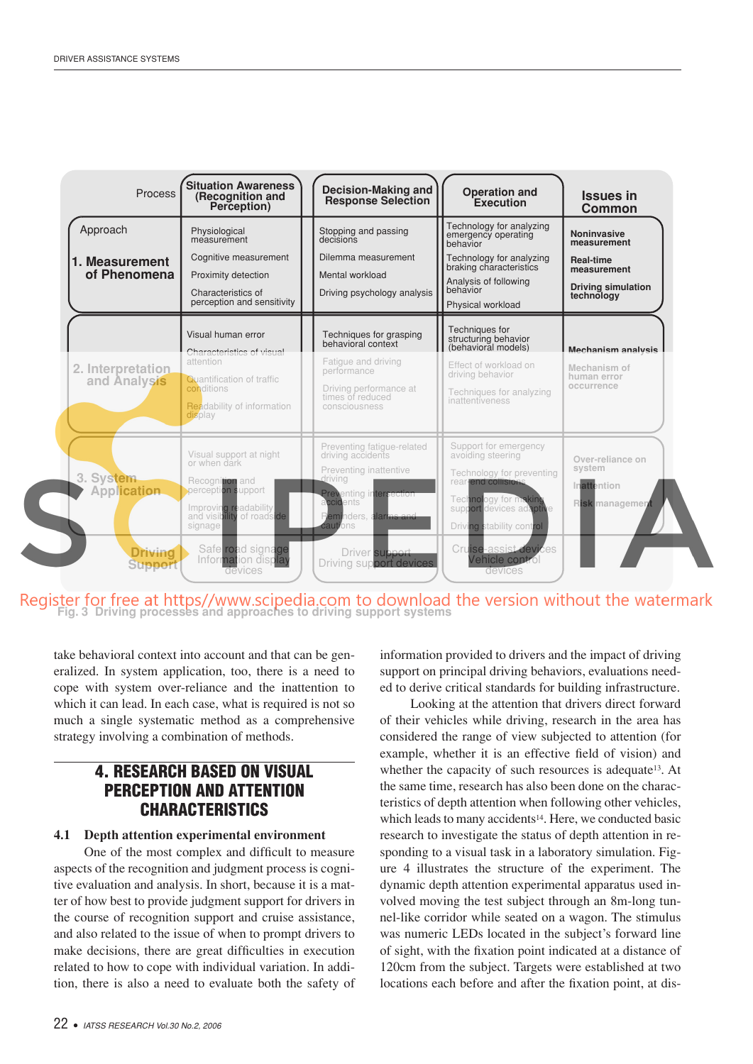

Register for free at https//www.scipedia.com to download the version without the watermark<br>Fig. 3 Driving processes and approaches to driving support systems

take behavioral context into account and that can be generalized. In system application, too, there is a need to cope with system over-reliance and the inattention to which it can lead. In each case, what is required is not so much a single systematic method as a comprehensive strategy involving a combination of methods.

## 4. RESEARCH BASED ON VISUAL PERCEPTION AND ATTENTION **CHARACTERISTICS**

#### **4.1** Depth attention experimental environment

One of the most complex and difficult to measure aspects of the recognition and judgment process is cognitive evaluation and analysis. In short, because it is a matter of how best to provide judgment support for drivers in the course of recognition support and cruise assistance, and also related to the issue of when to prompt drivers to make decisions, there are great difficulties in execution related to how to cope with individual variation. In addition, there is also a need to evaluate both the safety of

information provided to drivers and the impact of driving support on principal driving behaviors, evaluations needed to derive critical standards for building infrastructure.

Looking at the attention that drivers direct forward of their vehicles while driving, research in the area has considered the range of view subjected to attention (for example, whether it is an effective field of vision) and whether the capacity of such resources is adequate<sup>13</sup>. At the same time, research has also been done on the characteristics of depth attention when following other vehicles, which leads to many accidents<sup>14</sup>. Here, we conducted basic research to investigate the status of depth attention in responding to a visual task in a laboratory simulation. Figure 4 illustrates the structure of the experiment. The dynamic depth attention experimental apparatus used involved moving the test subject through an 8m-long tunnel-like corridor while seated on a wagon. The stimulus was numeric LEDs located in the subject's forward line of sight, with the fixation point indicated at a distance of 120cm from the subject. Targets were established at two locations each before and after the fixation point, at dis-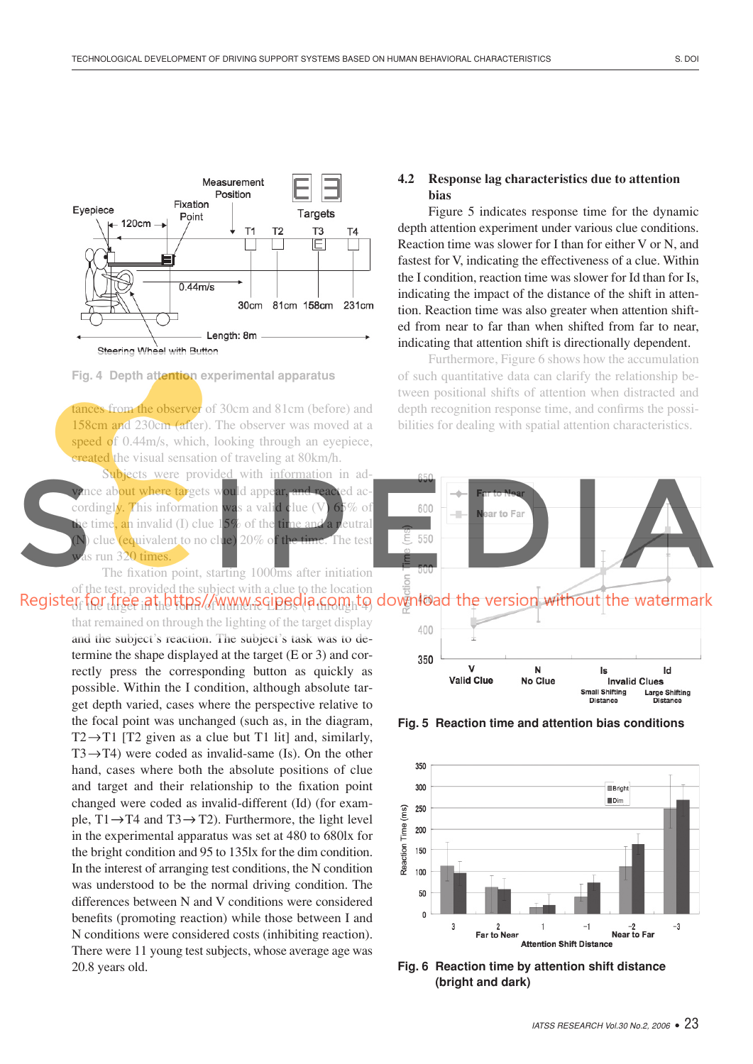

**Fig. 4 Depth attention experimental apparatus** 

tances from the observer of 30cm and 81cm (before) and 158cm and 230cm (after). The observer was moved at a speed of 0.44m/s, which, looking through an eyepiece, created the visual sensation of traveling at 80km/h.

Subjects were provided with information in advance about where targets would appear, and reacted accordingly. This information was a valid clue (V)  $65\%$  of e time, an invalid (I) clue 15% of the time and a neutral clue (equivalent to no clue) 20% of the time. The test as run 320 times.

The fixation point, starting 1000ms after initiation of the test, provided the subject with a clue to the location

> that remained on through the lighting of the target display and the subject's reaction. The subject's task was to determine the shape displayed at the target  $(E \text{ or } 3)$  and correctly press the corresponding button as quickly as possible. Within the I condition, although absolute target depth varied, cases where the perspective relative to the focal point was unchanged (such as, in the diagram, T2 $\rightarrow$ T1 [T2 given as a clue but T1 lit] and, similarly,  $T3 \rightarrow T4$ ) were coded as invalid-same (Is). On the other hand, cases where both the absolute positions of clue and target and their relationship to the fixation point changed were coded as invalid-different (Id) (for example,  $T1 \rightarrow T4$  and  $T3 \rightarrow T2$ ). Furthermore, the light level in the experimental apparatus was set at 480 to 680lx for the bright condition and 95 to 135lx for the dim condition. In the interest of arranging test conditions, the N condition was understood to be the normal driving condition. The differences between N and V conditions were considered benefits (promoting reaction) while those between I and N conditions were considered costs (inhibiting reaction). There were 11 young test subjects, whose average age was 20.8 years old.

#### **4.2** Response lag characteristics due to attention **bias**

Figure 5 indicates response time for the dynamic depth attention experiment under various clue conditions. Reaction time was slower for I than for either V or N, and fastest for V, indicating the effectiveness of a clue. Within the I condition, reaction time was slower for Id than for Is, indicating the impact of the distance of the shift in attention. Reaction time was also greater when attention shifted from near to far than when shifted from far to near, indicating that attention shift is directionally dependent.

Furthermore, Figure 6 shows how the accumulation of such quantitative data can clarify the relationship between positional shifts of attention when distracted and depth recognition response time, and confirms the possibilities for dealing with spatial attention characteristics.



**Fig. 5 Reaction time and attention bias conditions** 



Fig. 6 Reaction time by attention shift distance (bright and dark)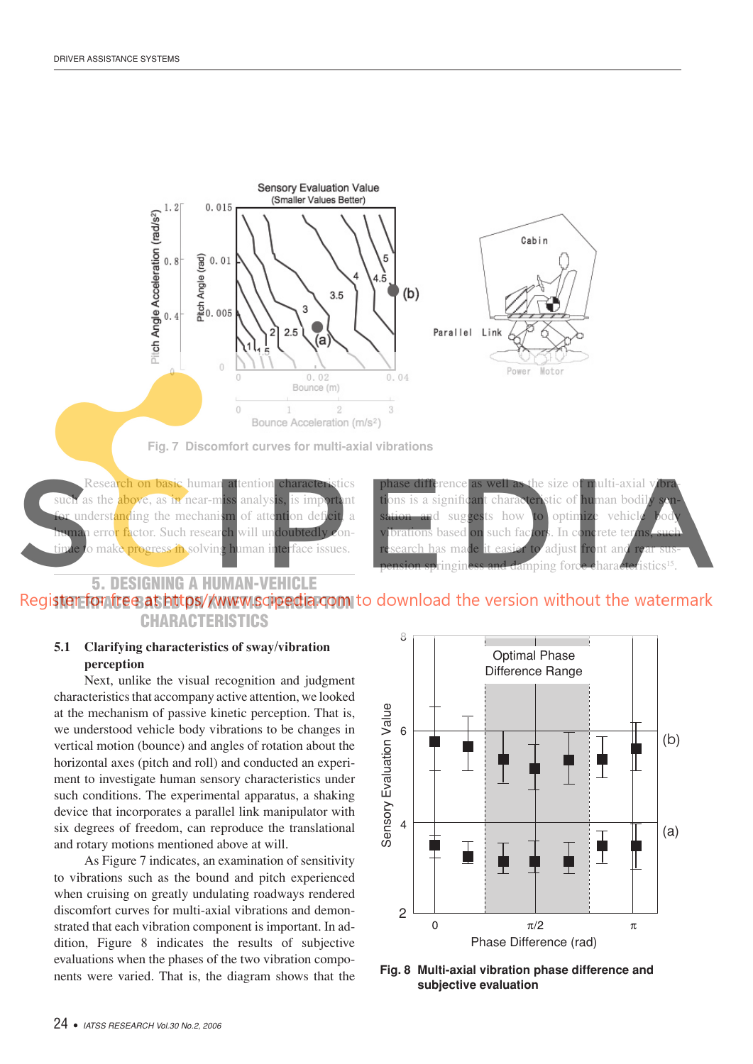

**Fig. 7 Discomfort curves for multi-axial vibrations** 

Research on basic human attention characteristics such as the above, as in near-miss analysis, is important or understanding the mechanism of attention deficit, a numan error factor. Such research will undoubtedly conto make progress in solving human interface issues.

rence as well as the size of multi-axial vibra ons is a significant characteristic of human bodil ad suggests how to optimize vehicle prations based <mark>on</mark> such factors. In concrete term made it easier to adjust front and pringiness and damping force characte istics<sup>15</sup>

## 5. DESIGNING A HUMAN-VEHICLE Register fontree as https//www.scipedia.com to download the version without the watermark CHARACTERISTICS

#### **5.1 Clarifying characteristics of sway/vibration perception**

Next, unlike the visual recognition and judgment characteristics that accompany active attention, we looked at the mechanism of passive kinetic perception. That is, we understood vehicle body vibrations to be changes in vertical motion (bounce) and angles of rotation about the horizontal axes (pitch and roll) and conducted an experiment to investigate human sensory characteristics under such conditions. The experimental apparatus, a shaking device that incorporates a parallel link manipulator with six degrees of freedom, can reproduce the translational and rotary motions mentioned above at will.

As Figure 7 indicates, an examination of sensitivity to vibrations such as the bound and pitch experienced when cruising on greatly undulating roadways rendered discomfort curves for multi-axial vibrations and demonstrated that each vibration component is important. In addition, Figure 8 indicates the results of subjective evaluations when the phases of the two vibration components were varied.That is, the diagram shows that the



Fig. 8 Multi-axial vibration phase difference and subjective evaluation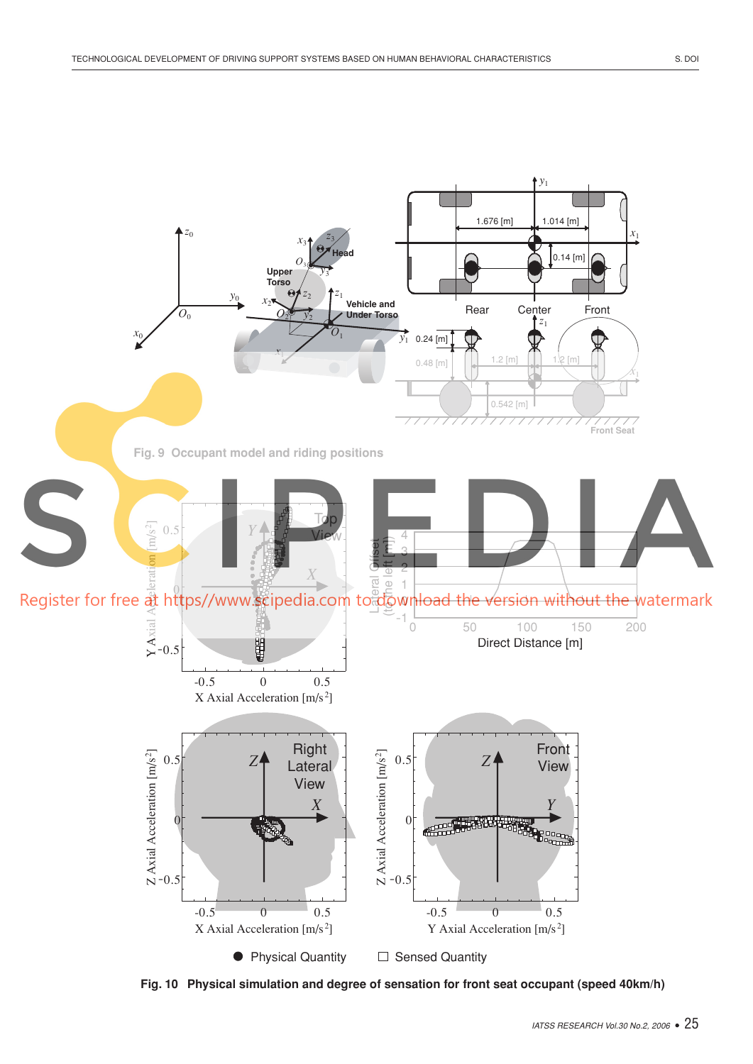

Fig. 10 Physical simulation and degree of sensation for front seat occupant (speed 40km/h)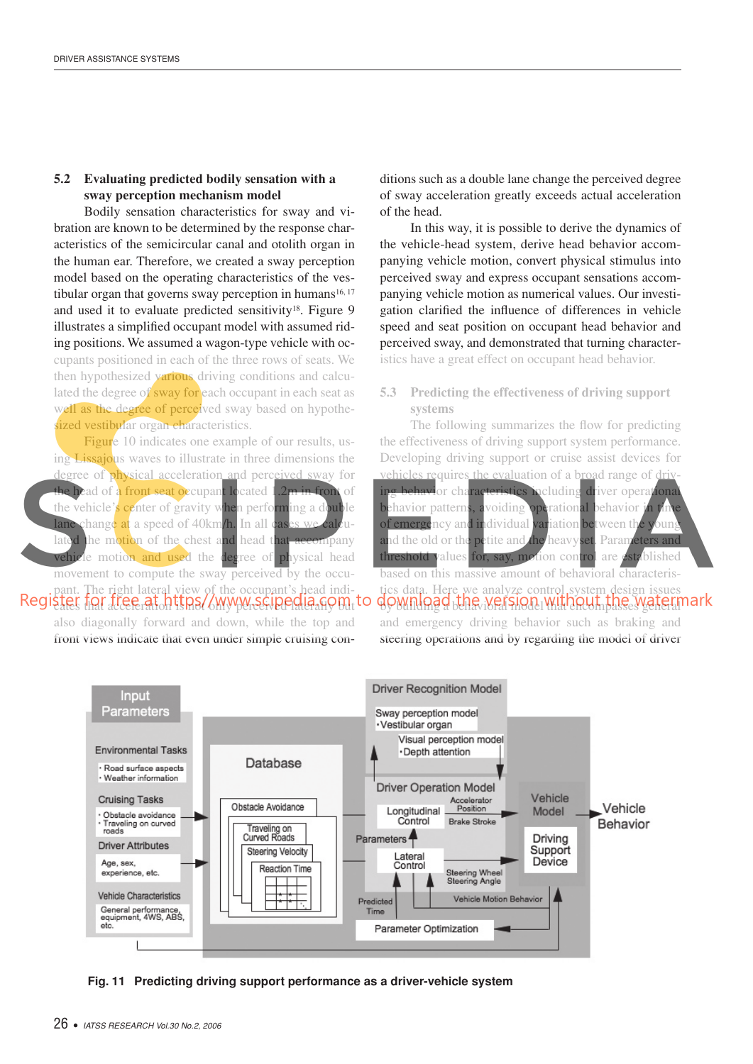#### **5.2** Evaluating predicted bodily sensation with a sway perception mechanism model

Bodily sensation characteristics for sway and vibration are known to be determined by the response characteristics of the semicircular canal and otolith organ in the human ear. Therefore, we created a sway perception model based on the operating characteristics of the vestibular organ that governs sway perception in humans<sup>16, 17</sup> and used it to evaluate predicted sensitivity<sup>18</sup>. Figure 9 illustrates a simplified occupant model with assumed riding positions. We assumed a wagon-type vehicle with occupants positioned in each of the three rows of seats. We then hypothesized various driving conditions and calculated the degree of sway for each occupant in each seat as well as the degree of perceived sway based on hypothesized vestibular organ characteristics.

Figure 10 indicates one example of our results, using Lissajous waves to illustrate in three dimensions the degree of physical acceleration and perceived sway for the head of a front seat occupant located 1.2m in front of the vehicle's center of gravity when performing a double lane change at a speed of 40km/h. In all cases we calculated the motion of the chest and head that accompany vehicle motion and used the degree of physical head movement to compute the sway perceived by the occupant. The right lateral view of the occupant's head indi-Registier for free at https//www.scipedia.gom.to

also diagonally forward and down, while the top and front views indicate that even under simple cruising con-

ditions such as a double lane change the perceived degree of sway acceleration greatly exceeds actual acceleration of the head.

In this way, it is possible to derive the dynamics of the vehicle-head system, derive head behavior accompanying vehicle motion, convert physical stimulus into perceived sway and express occupant sensations accompanying vehicle motion as numerical values. Our investigation clarified the influence of differences in vehicle speed and seat position on occupant head behavior and perceived sway, and demonstrated that turning characteristics have a great effect on occupant head behavior.

#### **5.3** Predicting the effectiveness of driving support **systems**

The following summarizes the flow for predicting the effectiveness of driving support system performance. Developing driving support or cruise assist devices for vehicles requires the evaluation of a broad range of drivbehavior characteristics including driver operational behavior patterns, avoiding operational behavior in the of emergency and individual variation between the young and the old or the petite and the heavyset. Parameters and threshold values for, say, motion control are established based on this massive amount of behavioral characteristics data. Here we analyze control system design issues download the version without the watermark and emergency driving behavior such as braking and steering operations and by regarding the model of driver



Fig. 11 Predicting driving support performance as a driver-vehicle system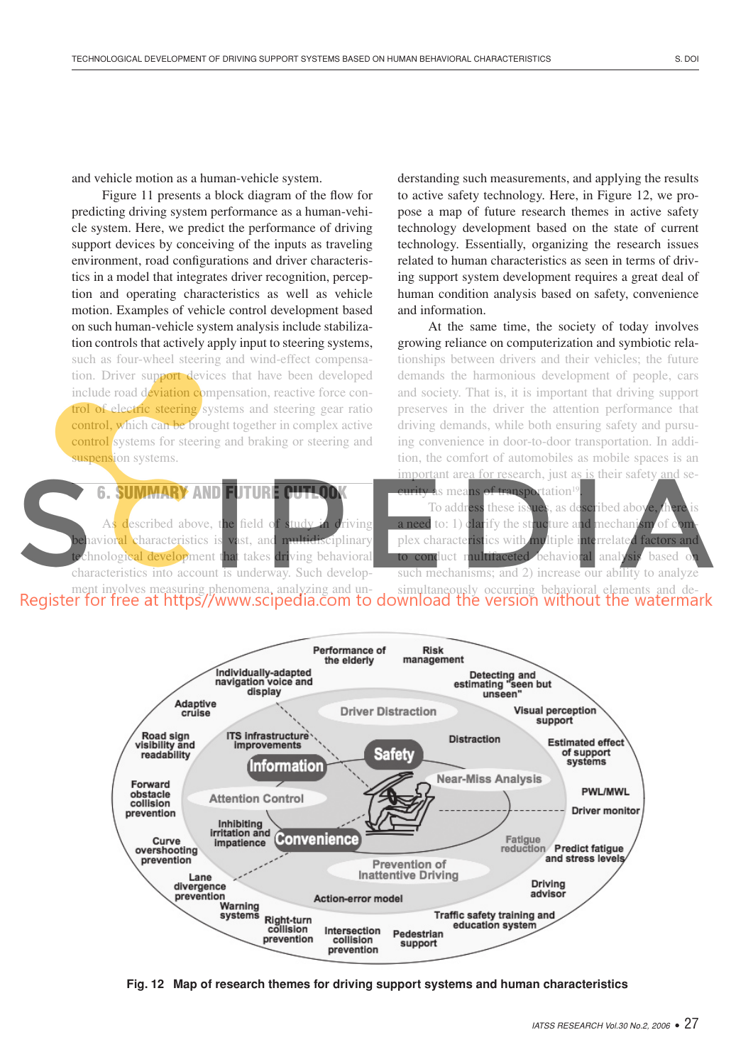and vehicle motion as a human-vehicle system.

Figure 11 presents a block diagram of the flow for predicting driving system performance as a human-vehicle system. Here, we predict the performance of driving support devices by conceiving of the inputs as traveling environment, road configurations and driver characteristics in a model that integrates driver recognition, perception and operating characteristics as well as vehicle motion. Examples of vehicle control development based on such human-vehicle system analysis include stabilization controls that actively apply input to steering systems, such as four-wheel steering and wind-effect compensation. Driver support devices that have been developed include road deviation compensation, reactive force control of electric steering systems and steering gear ratio control, which can be brought together in complex active control systems for steering and braking or steering and suspension systems.

**6. SUMMARY AND FUTURE CUTLOD** 

described above, the field of study in driving havior<mark>al c</mark>haracteristics is vast, and multidisciplinary thrological development that takes driving behavioral characteristics into account is underway. Such developderstanding such measurements, and applying the results to active safety technology. Here, in Figure 12, we propose a map of future research themes in active safety technology development based on the state of current technology. Essentially, organizing the research issues related to human characteristics as seen in terms of driving support system development requires a great deal of human condition analysis based on safety, convenience and information.

At the same time, the society of today involves growing reliance on computerization and symbiotic relationships between drivers and their vehicles; the future demands the harmonious development of people, cars and society. That is, it is important that driving support preserves in the driver the attention performance that driving demands, while both ensuring safety and pursuing convenience in door-to-door transportation. In addition, the comfort of automobiles as mobile spaces is an important area for research, just as is their safety and se-

s means of transportation<sup>1</sup> . To address these issues, as described abo to: 1) clarify the structure and mechanism plex characteristics with multiple interrelated factor conduct multifaceted behavioral analysis based such mechanisms; and 2) increase our ability to analyze

ment involves measuring phenomena, analyzing and un-<br>simultaneously occurring behavioral elements and elements and de-



Fig. 12 Map of research themes for driving support systems and human characteristics